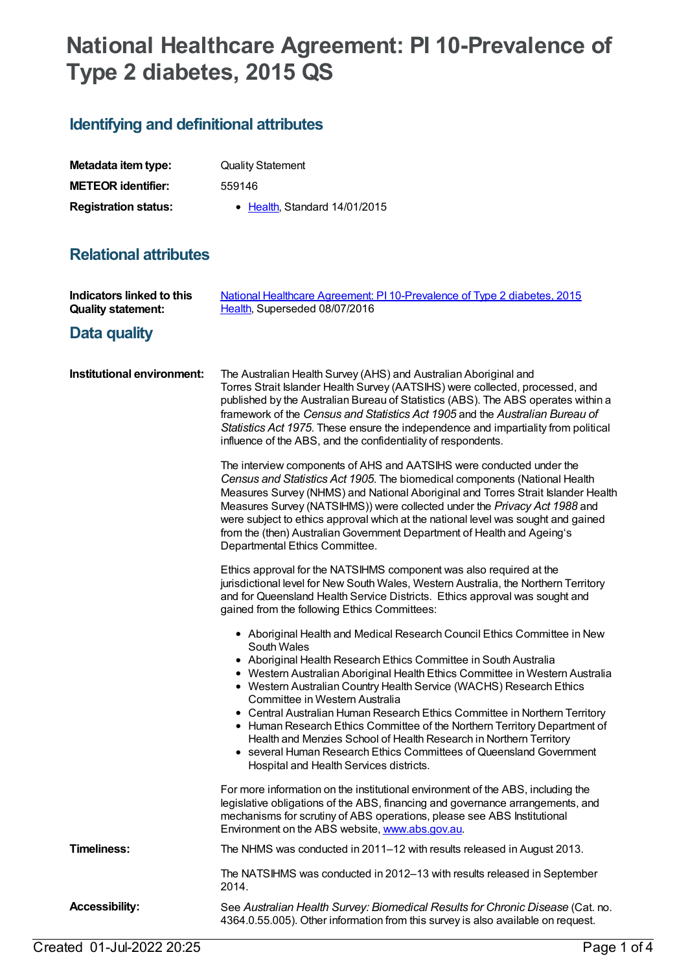## **National Healthcare Agreement: PI 10-Prevalence of Type 2 diabetes, 2015 QS**

## **Identifying and definitional attributes**

| Metadata item type:         | <b>Quality Statement</b>             |
|-----------------------------|--------------------------------------|
| <b>METEOR identifier:</b>   | 559146                               |
| <b>Registration status:</b> | $\bullet$ Health Standard 14/01/2015 |

## **Relational attributes**

| Indicators linked to this<br><b>Quality statement:</b> | National Healthcare Agreement: PI 10-Prevalence of Type 2 diabetes, 2015<br>Health, Superseded 08/07/2016                                                                                                                                                                                                                                                                                                                                                                                                                                                                                                                                                                                               |
|--------------------------------------------------------|---------------------------------------------------------------------------------------------------------------------------------------------------------------------------------------------------------------------------------------------------------------------------------------------------------------------------------------------------------------------------------------------------------------------------------------------------------------------------------------------------------------------------------------------------------------------------------------------------------------------------------------------------------------------------------------------------------|
| Data quality                                           |                                                                                                                                                                                                                                                                                                                                                                                                                                                                                                                                                                                                                                                                                                         |
| Institutional environment:                             | The Australian Health Survey (AHS) and Australian Aboriginal and<br>Torres Strait Islander Health Survey (AATSIHS) were collected, processed, and<br>published by the Australian Bureau of Statistics (ABS). The ABS operates within a<br>framework of the Census and Statistics Act 1905 and the Australian Bureau of<br>Statistics Act 1975. These ensure the independence and impartiality from political<br>influence of the ABS, and the confidentiality of respondents.                                                                                                                                                                                                                           |
|                                                        | The interview components of AHS and AATSIHS were conducted under the<br>Census and Statistics Act 1905. The biomedical components (National Health<br>Measures Survey (NHMS) and National Aboriginal and Torres Strait Islander Health<br>Measures Survey (NATSIHMS)) were collected under the Privacy Act 1988 and<br>were subject to ethics approval which at the national level was sought and gained<br>from the (then) Australian Government Department of Health and Ageing's<br>Departmental Ethics Committee.                                                                                                                                                                                   |
|                                                        | Ethics approval for the NATSIHMS component was also required at the<br>jurisdictional level for New South Wales, Western Australia, the Northern Territory<br>and for Queensland Health Service Districts. Ethics approval was sought and<br>gained from the following Ethics Committees:                                                                                                                                                                                                                                                                                                                                                                                                               |
|                                                        | • Aboriginal Health and Medical Research Council Ethics Committee in New<br>South Wales<br>• Aboriginal Health Research Ethics Committee in South Australia<br>• Western Australian Aboriginal Health Ethics Committee in Western Australia<br>• Western Australian Country Health Service (WACHS) Research Ethics<br>Committee in Western Australia<br>• Central Australian Human Research Ethics Committee in Northern Territory<br>• Human Research Ethics Committee of the Northern Territory Department of<br>Health and Menzies School of Health Research in Northern Territory<br>• several Human Research Ethics Committees of Queensland Government<br>Hospital and Health Services districts. |
|                                                        | For more information on the institutional environment of the ABS, including the<br>legislative obligations of the ABS, financing and governance arrangements, and<br>mechanisms for scrutiny of ABS operations, please see ABS Institutional<br>Environment on the ABS website, www.abs.gov.au.                                                                                                                                                                                                                                                                                                                                                                                                         |
| <b>Timeliness:</b>                                     | The NHMS was conducted in 2011–12 with results released in August 2013.                                                                                                                                                                                                                                                                                                                                                                                                                                                                                                                                                                                                                                 |
|                                                        | The NATSIHMS was conducted in 2012-13 with results released in September<br>2014.                                                                                                                                                                                                                                                                                                                                                                                                                                                                                                                                                                                                                       |
| <b>Accessibility:</b>                                  | See Australian Health Survey: Biomedical Results for Chronic Disease (Cat. no.<br>4364.0.55.005). Other information from this survey is also available on request.                                                                                                                                                                                                                                                                                                                                                                                                                                                                                                                                      |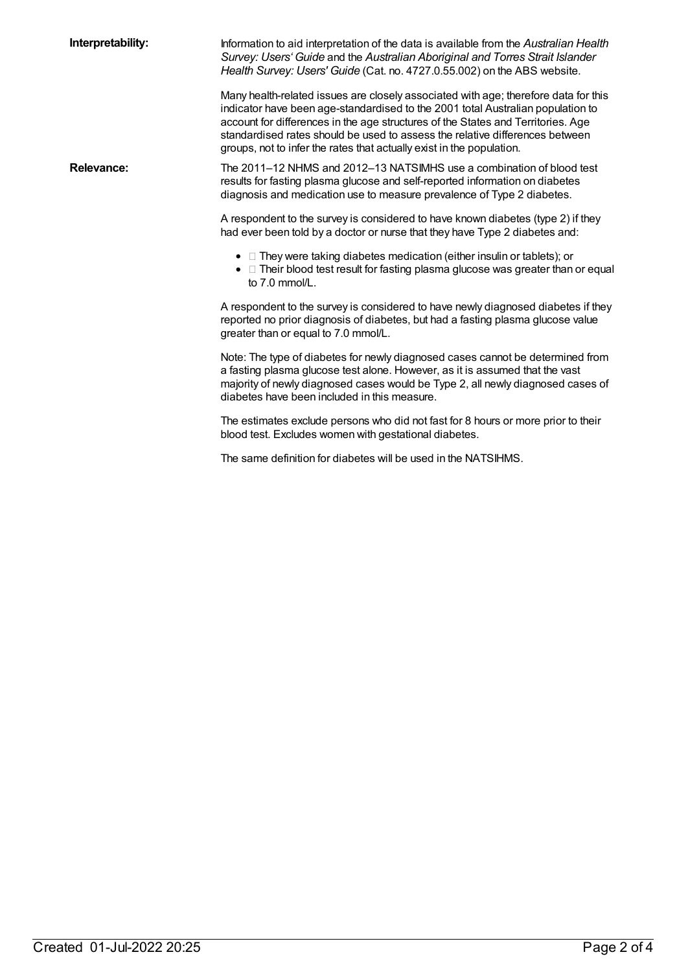| Interpretability: | Information to aid interpretation of the data is available from the Australian Health<br>Survey: Users' Guide and the Australian Aboriginal and Torres Strait Islander<br>Health Survey: Users' Guide (Cat. no. 4727.0.55.002) on the ABS website.                                                                                                                                                                  |
|-------------------|---------------------------------------------------------------------------------------------------------------------------------------------------------------------------------------------------------------------------------------------------------------------------------------------------------------------------------------------------------------------------------------------------------------------|
|                   | Many health-related issues are closely associated with age; therefore data for this<br>indicator have been age-standardised to the 2001 total Australian population to<br>account for differences in the age structures of the States and Territories. Age<br>standardised rates should be used to assess the relative differences between<br>groups, not to infer the rates that actually exist in the population. |
| <b>Relevance:</b> | The 2011-12 NHMS and 2012-13 NATSIMHS use a combination of blood test<br>results for fasting plasma glucose and self-reported information on diabetes<br>diagnosis and medication use to measure prevalence of Type 2 diabetes.                                                                                                                                                                                     |
|                   | A respondent to the survey is considered to have known diabetes (type 2) if they<br>had ever been told by a doctor or nurse that they have Type 2 diabetes and:                                                                                                                                                                                                                                                     |
|                   | • They were taking diabetes medication (either insulin or tablets); or<br>• If Their blood test result for fasting plasma glucose was greater than or equal<br>to 7.0 mmol/L.                                                                                                                                                                                                                                       |
|                   | A respondent to the survey is considered to have newly diagnosed diabetes if they<br>reported no prior diagnosis of diabetes, but had a fasting plasma glucose value<br>greater than or equal to 7.0 mmol/L.                                                                                                                                                                                                        |
|                   | Note: The type of diabetes for newly diagnosed cases cannot be determined from<br>a fasting plasma glucose test alone. However, as it is assumed that the vast<br>majority of newly diagnosed cases would be Type 2, all newly diagnosed cases of<br>diabetes have been included in this measure.                                                                                                                   |
|                   | The estimates exclude persons who did not fast for 8 hours or more prior to their<br>blood test. Excludes women with gestational diabetes.                                                                                                                                                                                                                                                                          |
|                   | The same definition for diabetes will be used in the NATSIHMS.                                                                                                                                                                                                                                                                                                                                                      |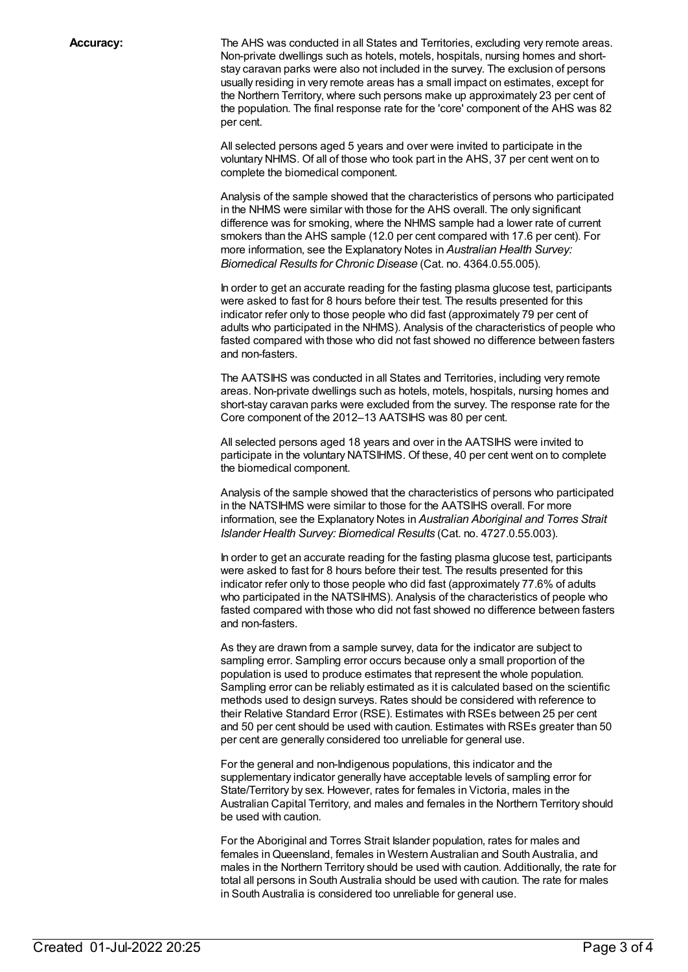**Accuracy:** The AHS was conducted in all States and Territories, excluding very remote areas. Non-private dwellings such as hotels, motels, hospitals, nursing homes and shortstay caravan parks were also not included in the survey. The exclusion of persons usually residing in very remote areas has a small impact on estimates, except for the Northern Territory, where such persons make up approximately 23 per cent of the population. The final response rate for the 'core' component of the AHS was 82 per cent.

> All selected persons aged 5 years and over were invited to participate in the voluntary NHMS. Of all of those who took part in the AHS, 37 per cent went on to complete the biomedical component.

Analysis of the sample showed that the characteristics of persons who participated in the NHMS were similar with those for the AHS overall. The only significant difference was for smoking, where the NHMS sample had a lower rate of current smokers than the AHS sample (12.0 per cent compared with 17.6 per cent). For more information, see the Explanatory Notes in *Australian Health Survey: Biomedical Results for Chronic Disease* (Cat. no. 4364.0.55.005).

In order to get an accurate reading for the fasting plasma glucose test, participants were asked to fast for 8 hours before their test. The results presented for this indicator refer only to those people who did fast (approximately 79 per cent of adults who participated in the NHMS). Analysis of the characteristics of people who fasted compared with those who did not fast showed no difference between fasters and non-fasters.

The AATSIHS was conducted in all States and Territories, including very remote areas. Non-private dwellings such as hotels, motels, hospitals, nursing homes and short-stay caravan parks were excluded from the survey. The response rate for the Core component of the 2012–13 AATSIHS was 80 per cent.

All selected persons aged 18 years and over in the AATSIHS were invited to participate in the voluntary NATSIHMS. Of these, 40 per cent went on to complete the biomedical component.

Analysis of the sample showed that the characteristics of persons who participated in the NATSIHMS were similar to those for the AATSIHS overall. For more information, see the Explanatory Notes in *Australian Aboriginal and Torres Strait Islander Health Survey: Biomedical Results* (Cat. no. 4727.0.55.003).

In order to get an accurate reading for the fasting plasma glucose test, participants were asked to fast for 8 hours before their test. The results presented for this indicator refer only to those people who did fast (approximately 77.6% of adults who participated in the NATSIHMS). Analysis of the characteristics of people who fasted compared with those who did not fast showed no difference between fasters and non-fasters.

As they are drawn from a sample survey, data for the indicator are subject to sampling error. Sampling error occurs because only a small proportion of the population is used to produce estimates that represent the whole population. Sampling error can be reliably estimated as it is calculated based on the scientific methods used to design surveys. Rates should be considered with reference to their Relative Standard Error (RSE). Estimates with RSEs between 25 per cent and 50 per cent should be used with caution. Estimates with RSEs greater than 50 per cent are generally considered too unreliable for general use.

For the general and non-Indigenous populations, this indicator and the supplementary indicator generally have acceptable levels of sampling error for State/Territory by sex. However, rates for females in Victoria, males in the Australian Capital Territory, and males and females in the Northern Territory should be used with caution.

For the Aboriginal and Torres Strait Islander population, rates for males and females inQueensland, females in Western Australian and South Australia, and males in the Northern Territory should be used with caution. Additionally, the rate for total all persons in South Australia should be used with caution. The rate for males in South Australia is considered too unreliable for general use.